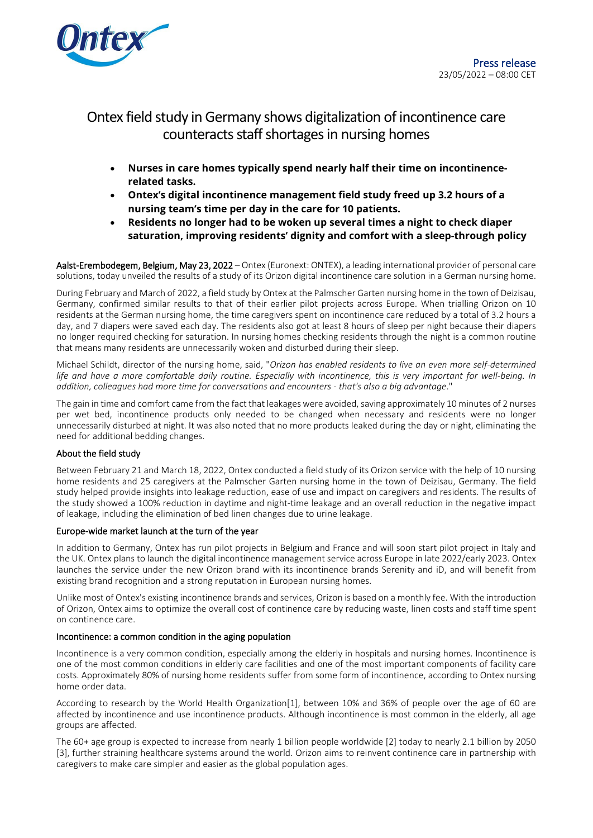

# Ontex field study in Germany shows digitalization of incontinence care counteracts staff shortages in nursing homes

- **Nurses in care homes typically spend nearly half their time on incontinencerelated tasks.**
- **Ontex's digital incontinence management field study freed up 3.2 hours of a nursing team's time per day in the care for 10 patients.**
- **Residents no longer had to be woken up several times a night to check diaper saturation, improving residents' dignity and comfort with a sleep-through policy**

Aalst-Erembodegem, Belgium, May 23, 2022 – Ontex (Euronext: ONTEX), a leading international provider of personal care solutions, today unveiled the results of a study of its Orizon digital incontinence care solution in a German nursing home.

During February and March of 2022, a field study by Ontex at the Palmscher Garten nursing home in the town of Deizisau, Germany, confirmed similar results to that of their earlier pilot projects across Europe. When trialling Orizon on 10 residents at the German nursing home, the time caregivers spent on incontinence care reduced by a total of 3.2 hours a day, and 7 diapers were saved each day. The residents also got at least 8 hours of sleep per night because their diapers no longer required checking for saturation. In nursing homes checking residents through the night is a common routine that means many residents are unnecessarily woken and disturbed during their sleep.

Michael Schildt, director of the nursing home, said, "*Orizon has enabled residents to live an even more self-determined life and have a more comfortable daily routine. Especially with incontinence, this is very important for well-being. In addition, colleagues had more time for conversations and encounters - that's also a big advantage*."

The gain in time and comfort came from the fact that leakages were avoided, saving approximately 10 minutes of 2 nurses per wet bed, incontinence products only needed to be changed when necessary and residents were no longer unnecessarily disturbed at night. It was also noted that no more products leaked during the day or night, eliminating the need for additional bedding changes.

#### About the field study

Between February 21 and March 18, 2022, Ontex conducted a field study of its Orizon service with the help of 10 nursing home residents and 25 caregivers at the Palmscher Garten nursing home in the town of Deizisau, Germany. The field study helped provide insights into leakage reduction, ease of use and impact on caregivers and residents. The results of the study showed a 100% reduction in daytime and night-time leakage and an overall reduction in the negative impact of leakage, including the elimination of bed linen changes due to urine leakage.

#### Europe-wide market launch at the turn of the year

In addition to Germany, Ontex has run pilot projects in Belgium and France and will soon start pilot project in Italy and the UK. Ontex plans to launch the digital incontinence management service across Europe in late 2022/early 2023. Ontex launches the service under the new Orizon brand with its incontinence brands Serenity and iD, and will benefit from existing brand recognition and a strong reputation in European nursing homes.

Unlike most of Ontex's existing incontinence brands and services, Orizon is based on a monthly fee. With the introduction of Orizon, Ontex aims to optimize the overall cost of continence care by reducing waste, linen costs and staff time spent on continence care.

#### Incontinence: a common condition in the aging population

Incontinence is a very common condition, especially among the elderly in hospitals and nursing homes. Incontinence is one of the most common conditions in elderly care facilities and one of the most important components of facility care costs. Approximately 80% of nursing home residents suffer from some form of incontinence, according to Ontex nursing home order data.

According to research by the World Health Organization[1], between 10% and 36% of people over the age of 60 are affected by incontinence and use incontinence products. Although incontinence is most common in the elderly, all age groups are affected.

The 60+ age group is expected to increase from nearly 1 billion people worldwide [2] today to nearly 2.1 billion by 2050 [3], further straining healthcare systems around the world. Orizon aims to reinvent continence care in partnership with caregivers to make care simpler and easier as the global population ages.